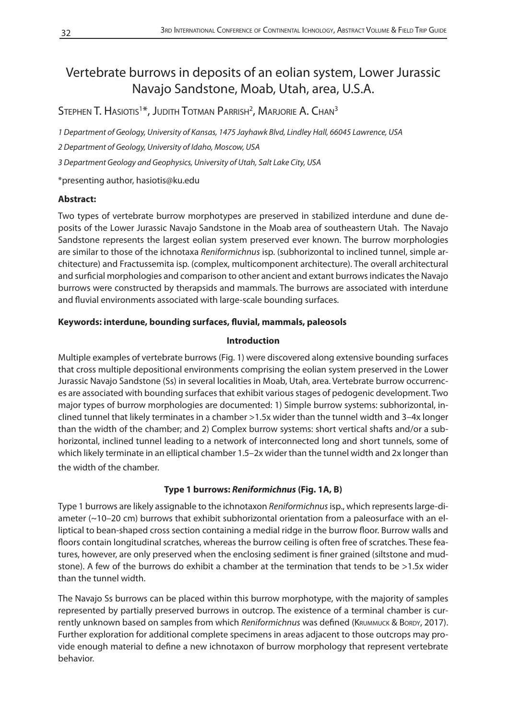# Vertebrate burrows in deposits of an eolian system, Lower Jurassic Navajo Sandstone, Moab, Utah, area, U.S.A.

Stephen T. Hasiotis $1*$ , Judith Totman Parrish $^2$ , Marjorie A. Chan $^3$ 

*1 Department of Geology, University of Kansas, 1475 Jayhawk Blvd, Lindley Hall, 66045 Lawrence, USA* 

*2 Department of Geology, University of Idaho, Moscow, USA*

*3 Department Geology and Geophysics, University of Utah, Salt Lake City, USA*

\*presenting author, hasiotis@ku.edu

## **Abstract:**

Two types of vertebrate burrow morphotypes are preserved in stabilized interdune and dune deposits of the Lower Jurassic Navajo Sandstone in the Moab area of southeastern Utah. The Navajo Sandstone represents the largest eolian system preserved ever known. The burrow morphologies are similar to those of the ichnotaxa *Reniformichnus* isp. (subhorizontal to inclined tunnel, simple architecture) and Fractussemita isp. (complex, multicomponent architecture). The overall architectural and surficial morphologies and comparison to other ancient and extant burrows indicates the Navajo burrows were constructed by therapsids and mammals. The burrows are associated with interdune and fluvial environments associated with large-scale bounding surfaces.

## **Keywords: interdune, bounding surfaces, fluvial, mammals, paleosols**

## **Introduction**

Multiple examples of vertebrate burrows (Fig. 1) were discovered along extensive bounding surfaces that cross multiple depositional environments comprising the eolian system preserved in the Lower Jurassic Navajo Sandstone (Ss) in several localities in Moab, Utah, area. Vertebrate burrow occurrences are associated with bounding surfaces that exhibit various stages of pedogenic development. Two major types of burrow morphologies are documented: 1) Simple burrow systems: subhorizontal, inclined tunnel that likely terminates in a chamber >1.5x wider than the tunnel width and 3–4x longer than the width of the chamber; and 2) Complex burrow systems: short vertical shafts and/or a subhorizontal, inclined tunnel leading to a network of interconnected long and short tunnels, some of which likely terminate in an elliptical chamber 1.5–2x wider than the tunnel width and 2x longer than the width of the chamber.

# **Type 1 burrows:** *Reniformichnus* **(Fig. 1A, B)**

Type 1 burrows are likely assignable to the ichnotaxon *Reniformichnus* isp., which represents large-diameter (~10–20 cm) burrows that exhibit subhorizontal orientation from a paleosurface with an elliptical to bean-shaped cross section containing a medial ridge in the burrow floor. Burrow walls and floors contain longitudinal scratches, whereas the burrow ceiling is often free of scratches. These features, however, are only preserved when the enclosing sediment is finer grained (siltstone and mudstone). A few of the burrows do exhibit a chamber at the termination that tends to be >1.5x wider than the tunnel width.

The Navajo Ss burrows can be placed within this burrow morphotype, with the majority of samples represented by partially preserved burrows in outcrop. The existence of a terminal chamber is currently unknown based on samples from which *Reniformichnus* was defined (KRUMMUCK & BORDY, 2017). Further exploration for additional complete specimens in areas adjacent to those outcrops may provide enough material to define a new ichnotaxon of burrow morphology that represent vertebrate behavior.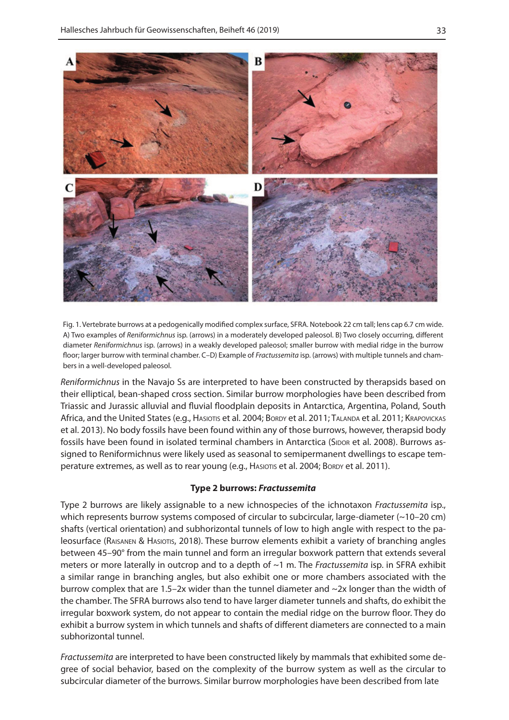

Fig. 1. Vertebrate burrows at a pedogenically modified complex surface, SFRA. Notebook 22 cm tall; lens cap 6.7 cm wide. A) Two examples of *Reniformichnus* isp. (arrows) in a moderately developed paleosol. B) Two closely occurring, different diameter *Reniformichnus* isp. (arrows) in a weakly developed paleosol; smaller burrow with medial ridge in the burrow floor; larger burrow with terminal chamber. C–D) Example of *Fractussemita* isp. (arrows) with multiple tunnels and chambers in a well-developed paleosol.

*Reniformichnus* in the Navajo Ss are interpreted to have been constructed by therapsids based on their elliptical, bean-shaped cross section. Similar burrow morphologies have been described from Triassic and Jurassic alluvial and fluvial floodplain deposits in Antarctica, Argentina, Poland, South Africa, and the United States (e.g., HASIOTIS et al. 2004; BORDY et al. 2011; TALANDA et al. 2011; KRAPOVICKAS et al. 2013). No body fossils have been found within any of those burrows, however, therapsid body fossils have been found in isolated terminal chambers in Antarctica (SIDOR et al. 2008). Burrows assigned to Reniformichnus were likely used as seasonal to semipermanent dwellings to escape temperature extremes, as well as to rear young (e.g., HASIOTIS et al. 2004; BORDY et al. 2011).

#### **Type 2 burrows:** *Fractussemita*

Type 2 burrows are likely assignable to a new ichnospecies of the ichnotaxon *Fractussemita* isp., which represents burrow systems composed of circular to subcircular, large-diameter (~10–20 cm) shafts (vertical orientation) and subhorizontal tunnels of low to high angle with respect to the paleosurface (Raisanen & Hasiotis, 2018). These burrow elements exhibit a variety of branching angles between 45–90° from the main tunnel and form an irregular boxwork pattern that extends several meters or more laterally in outcrop and to a depth of ~1 m. The *Fractussemita* isp. in SFRA exhibit a similar range in branching angles, but also exhibit one or more chambers associated with the burrow complex that are 1.5–2x wider than the tunnel diameter and ~2x longer than the width of the chamber. The SFRA burrows also tend to have larger diameter tunnels and shafts, do exhibit the irregular boxwork system, do not appear to contain the medial ridge on the burrow floor. They do exhibit a burrow system in which tunnels and shafts of different diameters are connected to a main subhorizontal tunnel.

*Fractussemita* are interpreted to have been constructed likely by mammals that exhibited some degree of social behavior, based on the complexity of the burrow system as well as the circular to subcircular diameter of the burrows. Similar burrow morphologies have been described from late